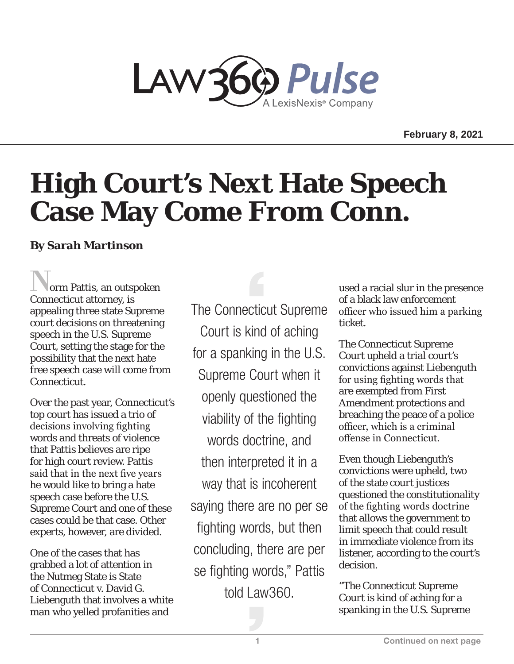

**February 8, 2021** 

## **High Court's Next Hate Speech Case May Come From Conn.**

## **By Sarah Martinson**

orm Pattis, an outspoken Connecticut attorney, is appealing three state Supreme court decisions on threatening speech in the U.S. Supreme Court, setting the stage for the possibility that the next hate free speech case will come from Connecticut.

Over the past year, Connecticut's top court has issued a trio of decisions involving fighting words and threats of violence that Pattis believes are ripe for high court review. Pattis said that in the next five years he would like to bring a hate speech case before the U.S. Supreme Court and one of these cases could be that case. Other experts, however, are divided.

One of the cases that has grabbed a lot of attention in the Nutmeg State is State of Connecticut v. David G. Liebenguth that involves a white man who yelled profanities and

The Connecticut Supreme Court is kind of aching for a spanking in the U.S. Supreme Court when it openly questioned the viability of the fighting words doctrine, and then interpreted it in a way that is incoherent saying there are no per se fighting words, but then concluding, there are per se fighting words," Pattis told Law360.

used a racial slur in the presence of a black law enforcement officer who issued him a parking ticket.

The Connecticut Supreme Court upheld a trial court's convictions against Liebenguth for using fighting words that are exempted from First Amendment protections and breaching the peace of a police officer, which is a criminal offense in Connecticut.

Even though Liebenguth's convictions were upheld, two of the state court justices questioned the constitutionality of the fighting words doctrine that allows the government to limit speech that could result in immediate violence from its listener, according to the court's decision.

"The Connecticut Supreme Court is kind of aching for a spanking in the U.S. Supreme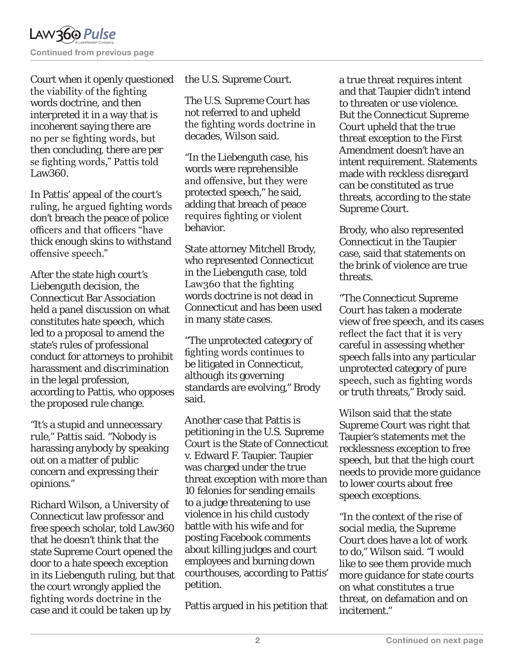Court when it openly questioned the viability of the fighting words doctrine, and then interpreted it in a way that is incoherent saying there are no per se fighting words, but then concluding, there are per se fighting words," Pattis told Law360.

In Pattis' appeal of the court's ruling, he argued fighting words don't breach the peace of police officers and that officers "have thick enough skins to withstand offensive speech."

After the state high court's Liebenguth decision, the Connecticut Bar Association held a panel discussion on what constitutes hate speech, which led to a proposal to amend the state's rules of professional conduct for attorneys to prohibit harassment and discrimination in the legal profession, according to Pattis, who opposes the proposed rule change.

"It's a stupid and unnecessary rule," Pattis said. "Nobody is harassing anybody by speaking out on a matter of public concern and expressing their opinions."

Richard Wilson, a University of Connecticut law professor and free speech scholar, told Law360 that he doesn't think that the state Supreme Court opened the door to a hate speech exception in its Liebenguth ruling, but that the court wrongly applied the fighting words doctrine in the case and it could be taken up by

the U.S. Supreme Court.

The U.S. Supreme Court has not referred to and upheld the fighting words doctrine in decades, Wilson said.

"In the Liebenguth case, his words were reprehensible and offensive, but they were protected speech," he said, adding that breach of peace requires fighting or violent behavior.

State attorney Mitchell Brody, who represented Connecticut in the Liebenguth case, told Law360 that the fighting words doctrine is not dead in Connecticut and has been used in many state cases.

"The unprotected category of fighting words continues to be litigated in Connecticut, although its governing standards are evolving," Brody said.

Another case that Pattis is petitioning in the U.S. Supreme Court is the State of Connecticut v. Edward F. Taupier. Taupier was charged under the true threat exception with more than 10 felonies for sending emails to a judge threatening to use violence in his child custody battle with his wife and for posting Facebook comments about killing judges and court employees and burning down courthouses, according to Pattis' petition.

Pattis argued in his petition that

a true threat requires intent and that Taupier didn't intend to threaten or use violence. But the Connecticut Supreme Court upheld that the true threat exception to the First Amendment doesn't have an intent requirement. Statements made with reckless disregard can be constituted as true threats, according to the state Supreme Court.

Brody, who also represented Connecticut in the Taupier case, said that statements on the brink of violence are true threats.

"The Connecticut Supreme Court has taken a moderate view of free speech, and its cases reflect the fact that it is very careful in assessing whether speech falls into any particular unprotected category of pure speech, such as fighting words or truth threats," Brody said.

Wilson said that the state Supreme Court was right that Taupier's statements met the recklessness exception to free speech, but that the high court needs to provide more guidance to lower courts about free speech exceptions.

"In the context of the rise of social media, the Supreme Court does have a lot of work to do," Wilson said. "I would like to see them provide much more guidance for state courts on what constitutes a true threat, on defamation and on incitement."